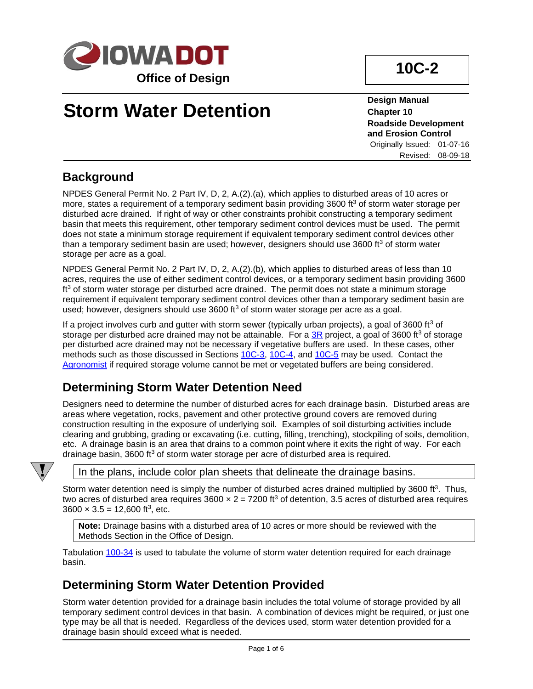

# **Storm Water Detention**

**10C-2**

**Design Manual Chapter 10 Roadside Development and Erosion Control** Originally Issued: 01-07-16

Revised: 08-09-18

## **Background**

NPDES General Permit No. 2 Part IV, D, 2, A.(2).(a), which applies to disturbed areas of 10 acres or more, states a requirement of a temporary sediment basin providing 3600 ft<sup>3</sup> of storm water storage per disturbed acre drained. If right of way or other constraints prohibit constructing a temporary sediment basin that meets this requirement, other temporary sediment control devices must be used. The permit does not state a minimum storage requirement if equivalent temporary sediment control devices other than a temporary sediment basin are used; however, designers should use 3600 ft<sup>3</sup> of storm water storage per acre as a goal.

NPDES General Permit No. 2 Part IV, D, 2, A.(2).(b), which applies to disturbed areas of less than 10 acres, requires the use of either sediment control devices, or a temporary sediment basin providing 3600 ft<sup>3</sup> of storm water storage per disturbed acre drained. The permit does not state a minimum storage requirement if equivalent temporary sediment control devices other than a temporary sediment basin are used; however, designers should use  $3600 \text{ ft}^3$  of storm water storage per acre as a goal.

If a project involves curb and gutter with storm sewer (typically urban projects), a goal of 3600 ft<sup>3</sup> of storage per disturbed acre drained may not be attainable. For a  $\frac{3R}{3}$  project, a goal of 3600 ft<sup>3</sup> of storage per disturbed acre drained may not be necessary if vegetative buffers are used. In these cases, other methods such as those discussed in Sections [10C-3,](10C-03.pdf) [10C-4,](10C-04.pdf) an[d 10C-5](10C-05.pdf) may be used. Contact the [Agronomist](01B-02/Agronomist.pdf) if required storage volume cannot be met or vegetated buffers are being considered.

## **Determining Storm Water Detention Need**

Designers need to determine the number of disturbed acres for each drainage basin. Disturbed areas are areas where vegetation, rocks, pavement and other protective ground covers are removed during construction resulting in the exposure of underlying soil. Examples of soil disturbing activities include clearing and grubbing, grading or excavating (i.e. cutting, filling, trenching), stockpiling of soils, demolition, etc. A drainage basin is an area that drains to a common point where it exits the right of way. For each drainage basin, 3600 ft<sup>3</sup> of storm water storage per acre of disturbed area is required.



In the plans, include color plan sheets that delineate the drainage basins.

Storm water detention need is simply the number of disturbed acres drained multiplied by 3600 ft<sup>3</sup>. Thus, two acres of disturbed area requires  $3600 \times 2 = 7200$  ft<sup>3</sup> of detention, 3.5 acres of disturbed area requires  $3600 \times 3.5 = 12,600$  ft<sup>3</sup>, etc.

**Note:** Drainage basins with a disturbed area of 10 acres or more should be reviewed with the Methods Section in the Office of Design.

Tabulation [100-34](../tnt/PDFsandWebFiles/IndividualPDFs/0100-34.PDF) is used to tabulate the volume of storm water detention required for each drainage basin.

## **Determining Storm Water Detention Provided**

Storm water detention provided for a drainage basin includes the total volume of storage provided by all temporary sediment control devices in that basin. A combination of devices might be required, or just one type may be all that is needed. Regardless of the devices used, storm water detention provided for a drainage basin should exceed what is needed.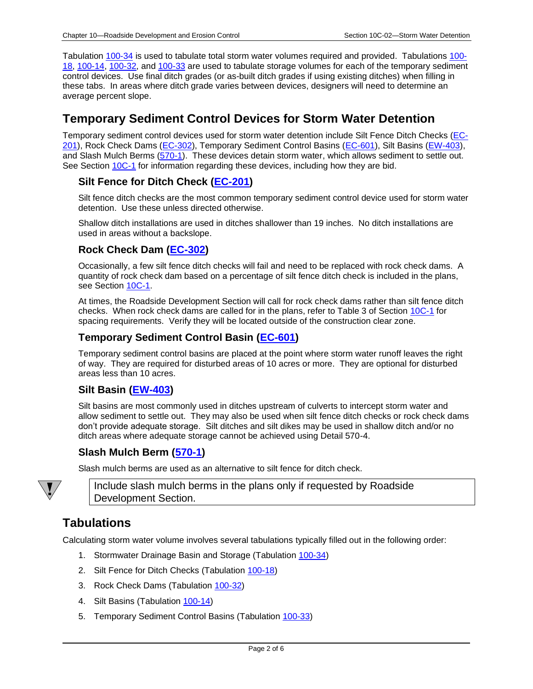Tabulation [100-34](../tnt/PDFsandWebFiles/IndividualPDFs/0100-34.PDF) is used to tabulate total storm water volumes required and provided. Tabulations [100-](../tnt/PDFsandWebFiles/IndividualPDFs/0100-18.PDF) [18,](../tnt/PDFsandWebFiles/IndividualPDFs/0100-18.PDF) [100-14,](../tnt/PDFsandWebFiles/IndividualPDFs/0100-14.PDF) [100-32,](../tnt/PDFsandWebFiles/IndividualPDFs/0100-32.PDF) an[d 100-33](../tnt/PDFsandWebFiles/IndividualPDFs/0100-33.PDF) are used to tabulate storage volumes for each of the temporary sediment control devices. Use final ditch grades (or as-built ditch grades if using existing ditches) when filling in these tabs. In areas where ditch grade varies between devices, designers will need to determine an average percent slope.

## **Temporary Sediment Control Devices for Storm Water Detention**

Temporary sediment control devices used for storm water detention include Silt Fence Ditch Checks [\(EC-](../SRP/IndividualStandards/ec201.pdf)[201\)](../SRP/IndividualStandards/ec201.pdf), Rock Check Dams [\(EC-302\)](../SRP/IndividualStandards/ec302.pdf), Temporary Sediment Control Basins [\(EC-601\)](../SRP/IndividualStandards/ec601.pdf), Silt Basins [\(EW-403\)](../SRP/IndividualStandards/ew403.pdf), and Slash Mulch Berms [\(570-1\)](../tnt/PDFsandWebFiles/IndividualPDFs/0570-01.pdf). These devices detain storm water, which allows sediment to settle out. See Section [10C-1](10c-01.pdf) for information regarding these devices, including how they are bid.

#### **Silt Fence for Ditch Check [\(EC-201\)](../SRP/IndividualStandards/ec201.pdf)**

Silt fence ditch checks are the most common temporary sediment control device used for storm water detention. Use these unless directed otherwise.

Shallow ditch installations are used in ditches shallower than 19 inches. No ditch installations are used in areas without a backslope.

#### **Rock Check Dam [\(EC-302\)](../SRP/IndividualStandards/ec302.pdf)**

Occasionally, a few silt fence ditch checks will fail and need to be replaced with rock check dams. A quantity of rock check dam based on a percentage of silt fence ditch check is included in the plans, see Section [10C-1.](10c-01.pdf)

At times, the Roadside Development Section will call for rock check dams rather than silt fence ditch checks. When rock check dams are called for in the plans, refer to Table 3 of Section [10C-1](10c-01.pdf) for spacing requirements. Verify they will be located outside of the construction clear zone.

#### **Temporary Sediment Control Basin [\(EC-601\)](../SRP/IndividualStandards/ec601.pdf)**

Temporary sediment control basins are placed at the point where storm water runoff leaves the right of way. They are required for disturbed areas of 10 acres or more. They are optional for disturbed areas less than 10 acres.

#### **Silt Basin [\(EW-403\)](../SRP/IndividualStandards/ew403.pdf)**

Silt basins are most commonly used in ditches upstream of culverts to intercept storm water and allow sediment to settle out. They may also be used when silt fence ditch checks or rock check dams don't provide adequate storage. Silt ditches and silt dikes may be used in shallow ditch and/or no ditch areas where adequate storage cannot be achieved using Detail 570-4.

#### **Slash Mulch Berm [\(570-1\)](../tnt/PDFsandWebFiles/IndividualPDFs/0570-01.pdf)**

Slash mulch berms are used as an alternative to silt fence for ditch check.



Include slash mulch berms in the plans only if requested by Roadside Development Section.

## **Tabulations**

Calculating storm water volume involves several tabulations typically filled out in the following order:

- 1. Stormwater Drainage Basin and Storage (Tabulation [100-34\)](../tnt/PDFsandWebFiles/IndividualPDFs/0100-34.PDF)
- 2. Silt Fence for Ditch Checks (Tabulation [100-18\)](../tnt/PDFsandWebFiles/IndividualPDFs/0100-18.PDF)
- 3. Rock Check Dams (Tabulation [100-32\)](../tnt/PDFsandWebFiles/IndividualPDFs/0100-32.PDF)
- 4. Silt Basins (Tabulation [100-14\)](../tnt/PDFsandWebFiles/IndividualPDFs/0100-14.PDF)
- 5. Temporary Sediment Control Basins (Tabulation [100-33\)](../tnt/PDFsandWebFiles/IndividualPDFs/0100-33.PDF)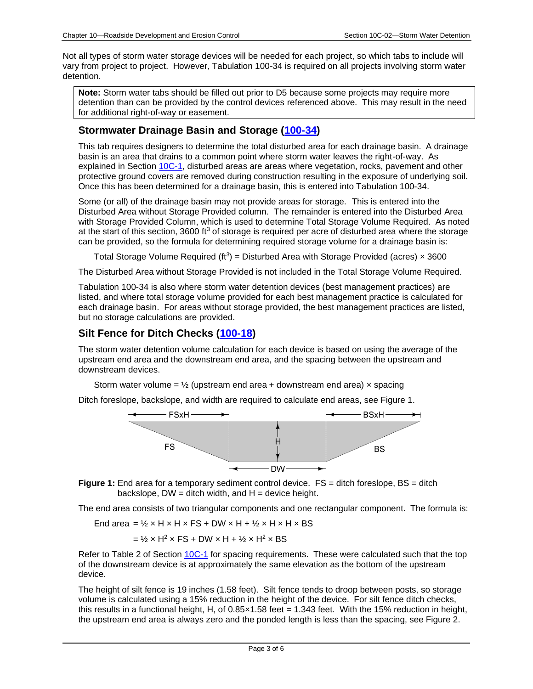Not all types of storm water storage devices will be needed for each project, so which tabs to include will vary from project to project. However, Tabulation 100-34 is required on all projects involving storm water detention.

**Note:** Storm water tabs should be filled out prior to D5 because some projects may require more detention than can be provided by the control devices referenced above. This may result in the need for additional right-of-way or easement.

#### **Stormwater Drainage Basin and Storage [\(100-34\)](../tnt/PDFsandWebFiles/IndividualPDFs/0100-34.PDF)**

This tab requires designers to determine the total disturbed area for each drainage basin. A drainage basin is an area that drains to a common point where storm water leaves the right-of-way. As explained in Section [10C-1,](10c-01.pdf) disturbed areas are areas where vegetation, rocks, pavement and other protective ground covers are removed during construction resulting in the exposure of underlying soil. Once this has been determined for a drainage basin, this is entered into Tabulation 100-34.

Some (or all) of the drainage basin may not provide areas for storage. This is entered into the Disturbed Area without Storage Provided column. The remainder is entered into the Disturbed Area with Storage Provided Column, which is used to determine Total Storage Volume Required. As noted at the start of this section, 3600 ft<sup>3</sup> of storage is required per acre of disturbed area where the storage can be provided, so the formula for determining required storage volume for a drainage basin is:

Total Storage Volume Required (ft<sup>3</sup>) = Disturbed Area with Storage Provided (acres)  $\times$  3600

The Disturbed Area without Storage Provided is not included in the Total Storage Volume Required.

Tabulation 100-34 is also where storm water detention devices (best management practices) are listed, and where total storage volume provided for each best management practice is calculated for each drainage basin. For areas without storage provided, the best management practices are listed, but no storage calculations are provided.

#### **Silt Fence for Ditch Checks [\(100-18\)](../tnt/PDFsandWebFiles/IndividualPDFs/0100-18.PDF)**

The storm water detention volume calculation for each device is based on using the average of the upstream end area and the downstream end area, and the spacing between the upstream and downstream devices.

Storm water volume =  $\frac{1}{2}$  (upstream end area + downstream end area)  $\times$  spacing

Ditch foreslope, backslope, and width are required to calculate end areas, see Figure 1.



**Figure 1:** End area for a temporary sediment control device. FS = ditch foreslope, BS = ditch backslope,  $DW =$  ditch width, and  $H =$  device height.

The end area consists of two triangular components and one rectangular component. The formula is:

End area =  $\frac{1}{2}$  x H x H x FS + DW x H +  $\frac{1}{2}$  x H x H x BS

 $=$   $\frac{1}{2}$  x H<sup>2</sup> x FS + DW x H +  $\frac{1}{2}$  x H<sup>2</sup> x BS

Refer to Table 2 of Sectio[n 10C-1](10c-01.pdf) for spacing requirements. These were calculated such that the top of the downstream device is at approximately the same elevation as the bottom of the upstream device.

The height of silt fence is 19 inches (1.58 feet). Silt fence tends to droop between posts, so storage volume is calculated using a 15% reduction in the height of the device. For silt fence ditch checks, this results in a functional height, H, of  $0.85 \times 1.58$  feet = 1.343 feet. With the 15% reduction in height, the upstream end area is always zero and the ponded length is less than the spacing, see Figure 2.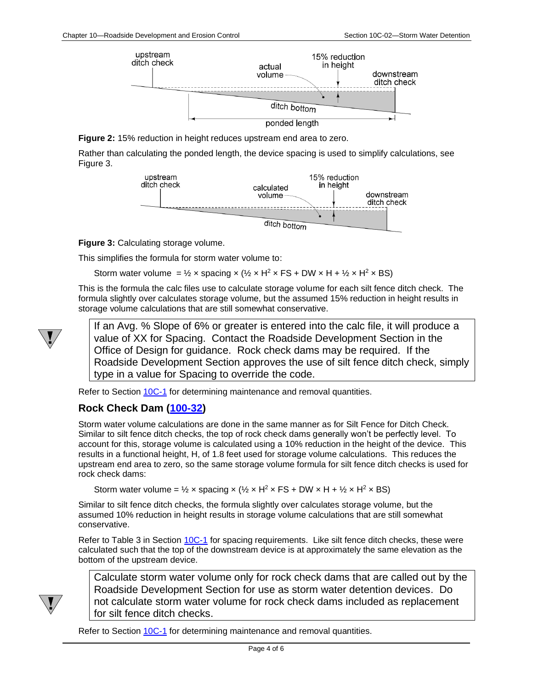

**Figure 2:** 15% reduction in height reduces upstream end area to zero.

Rather than calculating the ponded length, the device spacing is used to simplify calculations, see Figure 3.



**Figure 3:** Calculating storage volume.

This simplifies the formula for storm water volume to:

Storm water volume =  $\frac{1}{2}$  x spacing x ( $\frac{1}{2}$  x H<sup>2</sup> x FS + DW x H +  $\frac{1}{2}$  x H<sup>2</sup> x BS)

This is the formula the calc files use to calculate storage volume for each silt fence ditch check. The formula slightly over calculates storage volume, but the assumed 15% reduction in height results in storage volume calculations that are still somewhat conservative.



If an Avg. % Slope of 6% or greater is entered into the calc file, it will produce a value of XX for Spacing. Contact the Roadside Development Section in the Office of Design for guidance. Rock check dams may be required. If the Roadside Development Section approves the use of silt fence ditch check, simply type in a value for Spacing to override the code.

Refer to Section [10C-1](10c-01.pdf) for determining maintenance and removal quantities.

#### **Rock Check Dam [\(100-32\)](../tnt/PDFsandWebFiles/IndividualPDFs/0100-32.PDF)**

Storm water volume calculations are done in the same manner as for Silt Fence for Ditch Check. Similar to silt fence ditch checks, the top of rock check dams generally won't be perfectly level. To account for this, storage volume is calculated using a 10% reduction in the height of the device. This results in a functional height, H, of 1.8 feet used for storage volume calculations. This reduces the upstream end area to zero, so the same storage volume formula for silt fence ditch checks is used for rock check dams:

Storm water volume =  $\frac{1}{2}$  x spacing x ( $\frac{1}{2}$  x H<sup>2</sup> x FS + DW x H +  $\frac{1}{2}$  x H<sup>2</sup> x BS)

Similar to silt fence ditch checks, the formula slightly over calculates storage volume, but the assumed 10% reduction in height results in storage volume calculations that are still somewhat conservative.

Refer to Table 3 in Section [10C-1](10c-01.pdf) for spacing requirements. Like silt fence ditch checks, these were calculated such that the top of the downstream device is at approximately the same elevation as the bottom of the upstream device.



Calculate storm water volume only for rock check dams that are called out by the Roadside Development Section for use as storm water detention devices. Do not calculate storm water volume for rock check dams included as replacement for silt fence ditch checks.

Refer to Section [10C-1](10c-01.pdf) for determining maintenance and removal quantities.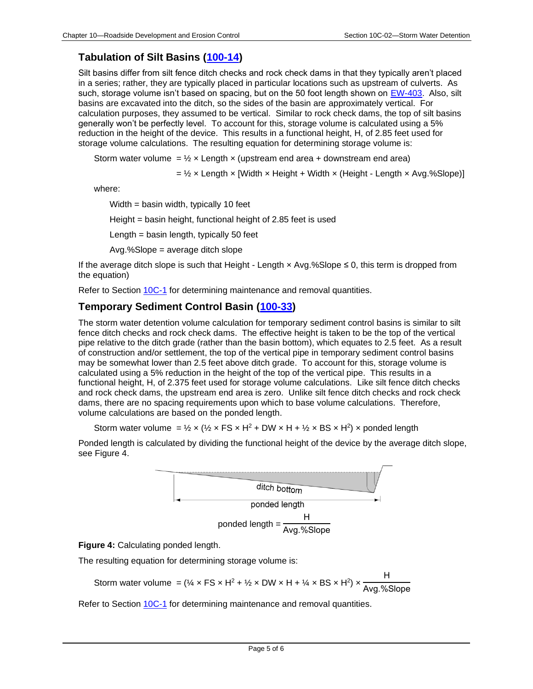#### **Tabulation of Silt Basins [\(100-14\)](../tnt/PDFsandWebFiles/IndividualPDFs/0100-14.PDF)**

Silt basins differ from silt fence ditch checks and rock check dams in that they typically aren't placed in a series; rather, they are typically placed in particular locations such as upstream of culverts. As such, storage volume isn't based on spacing, but on the 50 foot length shown on [EW-403.](../SRP/IndividualStandards/ew403.pdf) Also, silt basins are excavated into the ditch, so the sides of the basin are approximately vertical. For calculation purposes, they assumed to be vertical. Similar to rock check dams, the top of silt basins generally won't be perfectly level. To account for this, storage volume is calculated using a 5% reduction in the height of the device. This results in a functional height, H, of 2.85 feet used for storage volume calculations. The resulting equation for determining storage volume is:

Storm water volume =  $\frac{1}{2}$  x Length x (upstream end area + downstream end area)

 $=$   $\frac{1}{2}$  x Length x [Width x Height + Width x (Height - Length x Avg.%Slope)]

where:

Width = basin width, typically 10 feet

Height = basin height, functional height of 2.85 feet is used

Length = basin length, typically 50 feet

Avg.%Slope = average ditch slope

If the average ditch slope is such that Height - Length  $\times$  Avg.%Slope  $\leq$  0, this term is dropped from the equation)

Refer to Section [10C-1](10c-01.pdf) for determining maintenance and removal quantities.

#### **Temporary Sediment Control Basin [\(100-33\)](../tnt/PDFsandWebFiles/IndividualPDFs/0100-33.PDF)**

The storm water detention volume calculation for temporary sediment control basins is similar to silt fence ditch checks and rock check dams. The effective height is taken to be the top of the vertical pipe relative to the ditch grade (rather than the basin bottom), which equates to 2.5 feet. As a result of construction and/or settlement, the top of the vertical pipe in temporary sediment control basins may be somewhat lower than 2.5 feet above ditch grade. To account for this, storage volume is calculated using a 5% reduction in the height of the top of the vertical pipe. This results in a functional height, H, of 2.375 feet used for storage volume calculations. Like silt fence ditch checks and rock check dams, the upstream end area is zero. Unlike silt fence ditch checks and rock check dams, there are no spacing requirements upon which to base volume calculations. Therefore, volume calculations are based on the ponded length.

Storm water volume =  $\frac{1}{2}$  x ( $\frac{1}{2}$  x FS x H<sup>2</sup> + DW x H +  $\frac{1}{2}$  x BS x H<sup>2</sup>) x ponded length

Ponded length is calculated by dividing the functional height of the device by the average ditch slope, see Figure 4.



**Figure 4:** Calculating ponded length.

The resulting equation for determining storage volume is:

Storm water volume =  $(\frac{1}{4} \times FS \times H^2 + \frac{1}{2} \times DW \times H + \frac{1}{4} \times BS \times H^2) \times$ H Avg.%Slope

Refer to Section [10C-1](10c-01.pdf) for determining maintenance and removal quantities.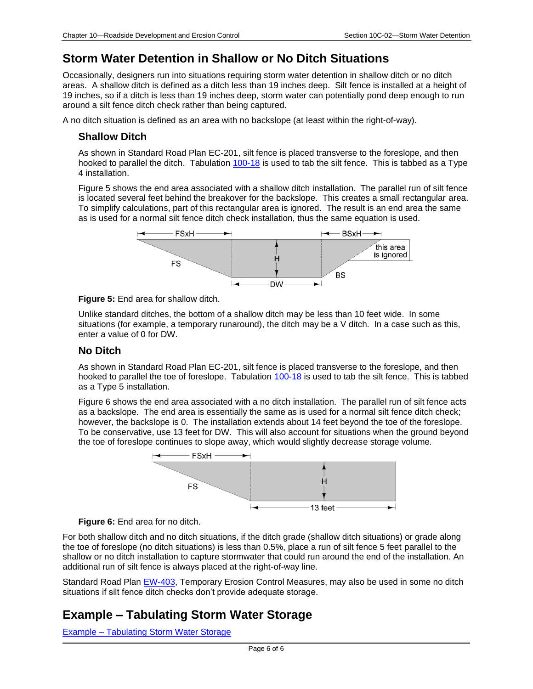### **Storm Water Detention in Shallow or No Ditch Situations**

Occasionally, designers run into situations requiring storm water detention in shallow ditch or no ditch areas. A shallow ditch is defined as a ditch less than 19 inches deep. Silt fence is installed at a height of 19 inches, so if a ditch is less than 19 inches deep, storm water can potentially pond deep enough to run around a silt fence ditch check rather than being captured.

A no ditch situation is defined as an area with no backslope (at least within the right-of-way).

#### **Shallow Ditch**

As shown in Standard Road Plan EC-201, silt fence is placed transverse to the foreslope, and then hooked to parallel the ditch. Tabulation [100-18](../tnt/PDFsandWebFiles/IndividualPDFs/0100-18.PDF) is used to tab the silt fence. This is tabbed as a Type 4 installation.

Figure 5 shows the end area associated with a shallow ditch installation. The parallel run of silt fence is located several feet behind the breakover for the backslope. This creates a small rectangular area. To simplify calculations, part of this rectangular area is ignored. The result is an end area the same as is used for a normal silt fence ditch check installation, thus the same equation is used.



**Figure 5:** End area for shallow ditch.

Unlike standard ditches, the bottom of a shallow ditch may be less than 10 feet wide. In some situations (for example, a temporary runaround), the ditch may be a V ditch. In a case such as this, enter a value of 0 for DW.

#### **No Ditch**

As shown in Standard Road Plan EC-201, silt fence is placed transverse to the foreslope, and then hooked to parallel the toe of foreslope. Tabulation [100-18](../tnt/PDFsandWebFiles/IndividualPDFs/0100-18.PDF) is used to tab the silt fence. This is tabbed as a Type 5 installation.

Figure 6 shows the end area associated with a no ditch installation. The parallel run of silt fence acts as a backslope. The end area is essentially the same as is used for a normal silt fence ditch check; however, the backslope is 0. The installation extends about 14 feet beyond the toe of the foreslope. To be conservative, use 13 feet for DW. This will also account for situations when the ground beyond the toe of foreslope continues to slope away, which would slightly decrease storage volume.





For both shallow ditch and no ditch situations, if the ditch grade (shallow ditch situations) or grade along the toe of foreslope (no ditch situations) is less than 0.5%, place a run of silt fence 5 feet parallel to the shallow or no ditch installation to capture stormwater that could run around the end of the installation. An additional run of silt fence is always placed at the right-of-way line.

Standard Road Plan [EW-403,](../SRP/IndividualStandards/ew403.pdf) Temporary Erosion Control Measures, may also be used in some no ditch situations if silt fence ditch checks don't provide adequate storage.

### **Example – Tabulating Storm Water Storage**

Example – [Tabulating Storm Water Storage](10C-02/Example.pdf)